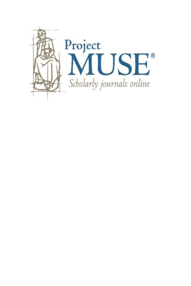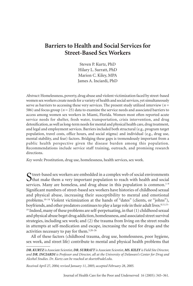# **Barriers to Health and Social Services for Street-Based Sex Workers**

Steven P. Kurtz, PhD Hilary L. Surratt, PhD Marion C. Kiley, MPA James A. Inciardi, PhD

*Abstract:* Homelessness, poverty, drug abuse and violent victimization faced by street-based women sex workers create needs for a variety of health and social services, yet simultaneously serve as barriers to accessing these very services. The present study utilized interview (*n* = 586) and focus group (*n* = 25) data to examine the service needs and associated barriers to access among women sex workers in Miami, Florida. Women most often reported acute service needs for shelter, fresh water, transportation, crisis intervention, and drug detoxification, as well as long-term needs for mental and physical health care, drug treatment, and legal and employment services. Barriers included both structural (e.g., program target population, travel costs, office hours, and social stigma) and individual (e.g., drug use, mental stability, and fear) factors. Bridging these gaps is tremendously important from a public health perspective given the disease burden among this population. Recommendations include service staff training, outreach, and promising research directions.

*Key words:* Prostitution, drug use, homelessness, health services, sex work.

 $\bigcap$  treet-based sex workers are embedded in a complex web of social environments  $\bigcup$  that make them a very important population to reach with health and social services. Many are homeless, and drug abuse in this population is common. $1-9$ Significant numbers of street-based sex workers have histories of childhood sexual and physical abuse, increasing their susceptibility to mental and emotional problems.<sup>10-14</sup> Violent victimization at the hands of "dates" (clients, or "johns"), boyfriends, and other predators continues to play a large role in their adult lives.<sup>8,11,15-</sup>  $19$  Indeed, many of these problems are self-perpetuating, in that  $(1)$  childhood sexual and physical abuse beget drug addiction, homelessness, and associated street survival strategies, including sex work; and (2) the trauma from living on the street results in attempts at self-medication and escape, increasing the need for drugs and the activities necessary to pay for them.5,20–26

All of these factors (childhood trauma, drug use, homelessness, poor hygiene, sex work, and street life) contribute to mental and physical health problems that

*Received April 27, 2004; revised January 11, 2005; accepted February 28, 2005.*

*DR. KURTZ is Associate Scientist, DR. SURRATT is Associate Scientist, MS. KILEY is Field Site Director, and DR. INCIARDI is Professor and Director, all at the University of Delaware's Center for Drug and Alcohol Studies. Dr. Kurtz can be reached at skurtz@udel.edu.*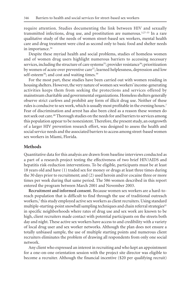require attention. Studies documenting the link between HIV and sexually transmitted infections, drug use, and prostitution are numerous.<sup>3,27-33</sup> In a rare qualitative study of the needs of women street-based sex workers, mental health care and drug treatment were cited as second only to basic food and shelter needs in importance.<sup>34</sup>

Despite these myriad health and social problems, studies of homeless women and of women drug users highlight numerous barriers to accessing necessary services, including the structure of care systems<sup>35</sup>; provider resistance<sup>36</sup>; prioritization by women of acute over preventive care<sup>37</sup>; learned helplessness, depression and low self-esteem<sup>38</sup>; and cost and waiting times.<sup>39</sup>

For the most part, these studies have been carried out with women residing in housing shelters. However, the very nature of women sex workers' income-generating activities keeps them from seeking the protections and services offered by mainstream charitable and governmental organizations. Homeless shelters generally observe strict curfews and prohibit any form of illicit drug use. Neither of these rules is conducive to sex work, which is usually most profitable in the evening hours.<sup>7</sup> Fear of discrimination and arrest has also been cited as a reason these women do not seek out care.<sup>40</sup> Thorough studies on the needs for and barriers to services among this population appear to be nonexistent. Therefore, the present study, an outgrowth of a larger HIV prevention research effort, was designed to assess the health and social service needs and the associated barriers to access among street-based women sex workers in Miami, Florida.

#### **Methods**

Quantitative data for this analysis are drawn from baseline interviews conducted as a part of a research project testing the effectiveness of two brief HIV/AIDS and hepatitis risk-reduction interventions. To be eligible, participants must be at least 18 years old and have (1) traded sex for money or drugs at least three times during the 30 days prior to recruitment; and (2) used heroin and/or cocaine three or more times per week during that same period. The 586 women described in this report entered the program between March 2001 and November 2003.

**Recruitment and informed consent.** Because women sex workers are a hard-toreach population that is difficult to find through the use of traditional outreach workers,<sup>7</sup> this study employed active sex workers as client recruiters. Using standard multiple-starting-point snowball sampling techniques and chain referral strategies $41$ in specific neighborhoods where rates of drug use and sex work are known to be high, client recruiters made contact with potential participants on the streets both day and night. These active sex workers have access to and credibility with a variety of local drug user and sex worker networks. Although the plan does not ensure a totally unbiased sample, the use of multiple starting points and numerous client recruiters eliminates the problem of drawing all respondents from only one social network.

Any client who expressed an interest in recruiting and who kept an appointment for a one-on-one orientation session with the project site director was eligible to become a recruiter. Although the financial incentive (\$20 per qualifying recruit)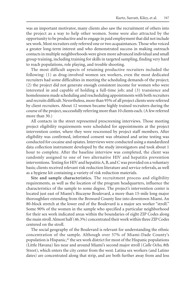was an important motivator, many clients also saw the recruitment of others into the project as a way to help other women. Some were also attracted by the opportunity to be productive and to engage in paid employment that did not include sex work. Most recruiters only referred one or two acquaintances. Those who voiced a greater long-term interest and who demonstrated success in making outreach contacts in multiple neighborhoods were given more advanced individual and small group training, including training for skills in targeted sampling, finding very hard to reach populations, role playing, and trouble shooting.

The most difficult aspects of retaining productive recruiters included the following: (1) as drug-involved women sex workers, even the most dedicated recruiters had some difficulties in meeting the scheduling demands of the project; (2) the project did not generate enough consistent income for women who were interested in and capable of holding a full-time job; and (3) transience and homelessness made scheduling and rescheduling appointments with both recruiters and recruits difficult. Nevertheless, more than 95% of all project clients were referred by client recruiters. About 12 women became highly trained recruiters during the course of the project, successfully referring more than 10 clients each. (A few referred more than 30.)

All contacts in the street represented prescreening interviews. Those meeting project eligibility requirements were scheduled for appointments at the project intervention center, where they were rescreened by project staff members. After eligibility was confirmed, informed consent was obtained and urine testing was conducted for cocaine and opiates. Interviews were conducted using a standardized data collection instrument developed by the study investigators and took about 1 hour to complete. After the baseline interview was completed, the client was randomly assigned to one of two alternative HIV and hepatitis prevention interventions. Testing for HIV and hepatitis A, B, and C was provided on a voluntary basis; clients received relevant risk reduction literature and service referrals, as well as a hygiene kit containing a variety of risk reduction materials.

**Site and sample characteristics.** The recruitment process and eligibility requirements, as well as the location of the program headquarters, influence the characteristics of the sample to some degree. The project's intervention center is located just east of Miami's Biscayne Boulevard, a more than 15-mile long major thoroughfare extending from the Broward County line into downtown Miami. An 80-block stretch at the lower end of the Boulevard is a major sex worker "stroll." Some 90% of the women in the sample who specified a particular neighborhood for their sex work indicated areas within the boundaries of eight ZIP Codes along the main stroll. Almost half (46.3%) concentrated their work within three ZIP Codes centered on the stroll.

The social geography of the Boulevard is relevant for understanding the ethnic concentration of the sample. Although over 57% of Miami-Dade County's population is Hispanic,<sup>42</sup> the sex work district for most of the Hispanic populations (Little Havana) lies near and around Miami's second major stroll (*Calle Ocho,* 8th Street), which enters the city center from the west. Latina sex workers (and Latino dates) are concentrated along that strip, and are both further away from and less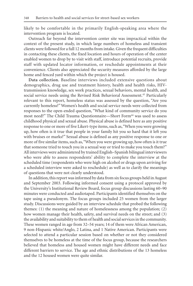likely to be comfortable in the primarily English-speaking area where the intervention program is located.

Outreach far beyond the intervention center site was impractical within the context of the present study, in which large numbers of homeless and transient clients were followed for a full 12 months from intake. Given the frequent difficulties in contacting these clients, the fixed location and hours of operation of the center enabled women to drop by to visit with staff, introduce potential recruits, provide staff with updated locator information, or reschedule appointments at their convenience. Clients also appreciated the security measures afforded by the large home and fenced yard within which the project is housed.

**Data collection.** Baseline interviews included extensive questions about demographics, drug use and treatment history, health and health risks, HIVtransmission knowledge, sex work practices, sexual behaviors, mental health, and social service needs using the Revised Risk Behavioral Assessment.<sup>43</sup> Particularly relevant to this report, homeless status was assessed by the question, "Are you currently homeless?" Women's health and social service needs were collected from responses to the open-ended question, "What kind of community service do you most need?" The Child Trauma Questionnaire—Short Form<sup>44</sup> was used to assess childhood physical and sexual abuse. Physical abuse is defined here as any positive response to one or more of five Likert-type items, such as, "When you were growing up, how often is it true that people in your family hit you so hard that it left you with bruises or marks?" Sexual abuse is defined as any positive response to one or more of five similar items, such as, "When you were growing up, how often is it true that someone tried to touch you in a sexual way or tried to make you touch them?" All interviews were administered by trained English–Spanish bilingual interviewers who were able to assess respondents' ability to complete the interview at the scheduled time (respondents who were high on alcohol or drugs upon arriving for a scheduled interview were asked to reschedule) as well as to clarify the meanings of questions that were not clearly understood.

In addition, this report was informed by data from six focus groups held in August and September 2003. Following informed consent using a protocol approved by the University's Institutional Review Board, focus group discussions lasting 60–90 minutes were conducted and audiotaped. Participants identified themselves on the tape using a pseudonym. The focus groups included 25 women from the larger study. Discussions were guided by an interview schedule that probed the following themes: (1) the meaning and nature of homelessness among the population; (2) how women manage their health, safety, and survival needs on the street; and (3) the availability and suitability to them of health and social services in the community. These women ranged in age from 32–54 years; 14 of them were African American, 9 non-Hispanic white/Anglo, 2 Latina, and 1 Native American. Participants were selected to attend a particular session based on whether or not they considered themselves to be homeless at the time of the focus group, because the researchers believed that homeless and housed women might have different needs and face different barriers to service. The age and ethnic distributions of the 13 homeless and the 12 housed women were quite similar.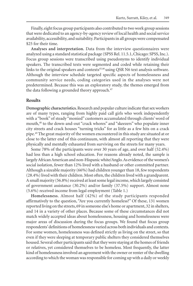Finally, eight focus group participants also contributed to two work group sessions that were dedicated to an agency-by-agency review of local health and social service availability, accessibility, and suitability. Participants in all groups were compensated \$25 for their time.

**Analyses and interpretation.** Data from the interview questionnaires were analyzed using a standard statistical package (SPSS Rel. 11.5.1, Chicago: SPSS, Inc.). Focus group sessions were transcribed using pseudonyms to identify individual speakers. The transcribed texts were segmented and coded while retaining their links to the original speakers and contexts<sup>45,46</sup> using QSR N6 text analysis software. Although the interview schedule targeted specific aspects of homelessness and community service needs, coding categories used in the analyses were not predetermined. Because this was an exploratory study, the themes emerged from the data following a grounded theory approach.<sup>47</sup>

#### **Results**

**Demographic characteristics.** Research and popular culture indicate that sex workers are of many types, ranging from highly paid call girls who work independently with a "book" of steady "monied" customers accumulated through clients' word of mouth,<sup>48</sup> to the down-and-out "crack whores" and "skeezers" who populate inner city streets and crack houses "turning tricks" for as little as a few hits on a crack pipe.49 The great majority of the women encountered in this study are situated at or close to the latter end of this continuum, with almost all reporting that they were physically and mentally exhausted from surviving on the streets for many years.

Some 78% of the participants were over 30 years of age, and over half (52.4%) had less than a high school education. For reasons already noted, the sample is largely African American and non-Hispanic white/Anglo. As evidence of the women's social isolation, fewer than 12% lived with a husband or other committed partner. Although a sizeable majority (66%) had children younger than 18, few respondents (28.4%) lived with their children. Most often, the children lived with a grandparent. A small majority (56.8%) received at least some legal income, which largely consisted of government assistance (30.2%) and/or family (37.5%) support. Almost none (5.6%) received income from legal employment (Table 1.)

**Homelessness***.* Almost half (42%) of the study participants responded affirmatively to the question, "Are you currently homeless?" Of these, 131 women reported living on the streets, 69 in someone else's home or apartment, 32 in shelters, and 14 in a variety of other places. Because some of these circumstances did not match widely accepted ideas about homelessness, housing and homelessness were major areas of discussion during the focus groups. We found that focus group respondents' definitions of homelessness varied across both individuals and contexts. For some women, homelessness was defined strictly as living on the street, so that even if they were sleeping at temporary public shelters they considered themselves housed. Several other participants said that they were staying at the homes of friends or relatives, yet considered themselves to be homeless. Most frequently, the latter kind of homelessness involved an agreement with the owner or renter of the dwelling according to which the woman was responsible for coming up with a daily or weekly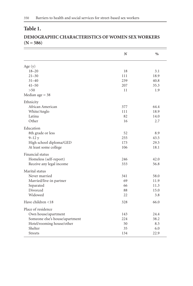# **Table 1.**

|                                | $\boldsymbol{N}$ | $\frac{0}{0}$ |
|--------------------------------|------------------|---------------|
| Age $(y)$                      |                  |               |
| $18 - 20$                      | 18               | 3.1           |
| $21 - 30$                      | 111              | 18.9          |
| $31 - 40$                      | 239              | 40.8          |
| $41 - 50$                      | 207              | 35.3          |
| >50                            | 11               | 1.9           |
| Median age $=$ 38              |                  |               |
| Ethnicity                      |                  |               |
| African American               | 377              | 64.4          |
| White/Anglo                    | 111              | 18.9          |
| Latina                         | 82               | 14.0          |
| Other                          | 16               | 2.7           |
| Education                      |                  |               |
| 8th grade or less              | 52               | 8.9           |
| $9 - 12y$                      | 255              | 43.5          |
| High school diploma/GED        | 173              | 29.5          |
| At least some college          | 106              | 18.1          |
| Financial status               |                  |               |
| Homeless (self-report)         | 246              | 42.0          |
| Receive any legal income       | 333              | 56.8          |
| Marital status                 |                  |               |
| Never married                  | 341              | 58.0          |
| Married/live-in partner        | 69               | 11.9          |
| Separated                      | 66               | 11.3          |
| Divorced                       | 88               | 15.0          |
| Widowed                        | 22               | 3.8           |
| Have children <18              | 328              | 66.0          |
| Place of residence             |                  |               |
| Own house/apartment            | 143              | 24.4          |
| Someone else's house/apartment | 224              | 38.2          |
| Hotel/rooming house/other      | 50               | 8.5           |
| Shelter                        | 35               | 6.0           |
| <b>Streets</b>                 | 134              | 22.9          |

## **DEMOGRAPHIC CHARACTERISTICS OF WOMEN SEX WORKERS**  $(N = 586)$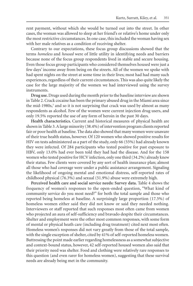rent payment, without which she would be turned out into the street. In other cases, the woman was allowed to sleep at her friend's or relative's home under only the most restrictive circumstances. In one case, this included the woman having sex with her male relatives as a condition of receiving shelter.

Contrary to our expectations, these focus group discussions showed that the terms *homeless* and *housed* were of little utility in identifying needs and barriers because none of the focus group respondents lived in stable and secure housing. Even those focus group participants who considered themselves housed were just a few days' income away from being on the streets. All of the women we spoke with had spent nights on the street at some time in their lives; most had had many such experiences, regardless of their current circumstances. This was also quite likely the case for the large majority of the women we had interviewed using the survey instruments.

**Drug use.** Drugs used during the month prior to the baseline interview are shown in Table 2. Crack cocaine has been the primary abused drug in the Miami area since the mid-1980s,<sup>7</sup> and so it is not surprising that crack was used by almost as many respondents as alcohol. Few of the women were current injection drug users, and only 19.5% reported the use of any form of heroin in the past 30 days.

**Health characteristics.** Current and historical measures of physical health are shown in Table 3. A large minority (38.4%) of intervention program clients reported fair or poor health at baseline. The data also showed that many women were unaware of their true health status, however. Of 120 women who showed positive results for HIV on tests administered as a part of the study, only 66 (55%) had already known they were infected. Of 284 participants who tested positive for past exposure to HBV, only 13.0% had ever been told they had had the disease. And for the 158 women who tested positive for HCV infection, only one third (34.2%) already knew their status. Few clients were covered by any sort of health insurance plan; almost all those who had coverage were under a public assistance arrangement. Signaling the likelihood of ongoing mental and emotional distress, self-reported rates of childhood physical (76.3%) and sexual (51.9%) abuse were extremely high.

**Perceived health care and social service needs: Survey data.** Table 4 shows the frequency of women's responses to the open-ended question, "What kind of community service do you most need?" for both the total sample and those who reported being homeless at baseline. A surprisingly large proportion (17.5%) of homeless women either said they did not know or said they needed nothing. Interviewers or staff reported that such responses most often came from women who projected an aura of self-sufficiency and bravado despite their circumstances. Shelter and employment were the other most common responses, with some form of mental or physical heath care (including drug treatment) cited next most often. Homeless women's responses did not vary greatly from those of the total sample, with the single exception of shelter, cited by 41% of self-reported homeless women. Buttressing the point made earlier regarding homelessness as a somewhat subjective and context-bound status, however, 42 self-reported housed women also said that their priority need was shelter. Food and clothing were relatively rare responses to this question (and even rarer for homeless women), suggesting that these survival needs are already being met in the community.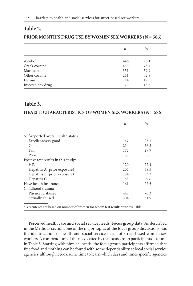# **Table 2.**

#### **PRIOR MONTH'S DRUG USE BY WOMEN SEX WORKERS (***N* **= 586)**

|                   | $\boldsymbol{n}$ | $\%$ |  |
|-------------------|------------------|------|--|
| Alcohol           | 446              | 76.1 |  |
| Crack cocaine     | 430              | 73.4 |  |
| Marijuana         | 351              | 59.9 |  |
| Other cocaine     | 251              | 42.8 |  |
| Heroin            | 114              | 19.5 |  |
| Injected any drug | 79               | 13.5 |  |

# **Table 3.**

#### **HEALTH CHARACTERISTICS OF WOMEN SEX WORKERS (***N* **= 586)**

|                                                         | $\boldsymbol{n}$ | $\%$ |  |
|---------------------------------------------------------|------------------|------|--|
| Self-reported overall health status                     |                  |      |  |
| Excellent/very good                                     | 147              | 25.1 |  |
| Good                                                    | 214              | 36.5 |  |
| Fair                                                    | 175              | 29.9 |  |
| Poor                                                    | 50               | 8.5  |  |
| Positive test results in this study <sup><i>a</i></sup> |                  |      |  |
| <b>HIV</b>                                              | 120              | 22.4 |  |
| Hepatitis A (prior exposure)                            | 205              | 38.5 |  |
| Hepatitis B (prior exposure)                            | 284              | 53.3 |  |
| Hepatitis C                                             | 158              | 29.6 |  |
| Have health insurance                                   | 161              | 27.5 |  |
| Childhood trauma                                        |                  |      |  |
| Physically abused                                       | 447              | 76.3 |  |
| Sexually abused                                         | 304              | 51.9 |  |

*<sup>a</sup>* Percentages are based on number of women for whom test results were available.

**Perceived health care and social service needs: Focus group data.** As described in the Methods section, one of the major topics of the focus group discussions was the identification of health and social service needs of street-based women sex workers. A compendium of the needs cited by the focus group participants is found in Table 5. Starting with physical needs, the focus group participants affirmed that free food and clothing can be found with some dependability at local social service agencies, although it took some time to learn which days and times specific agencies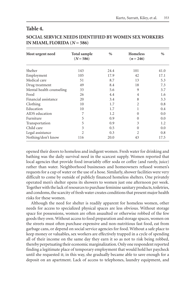## **Table 4.**

| Most urgent need         | <b>Total sample</b><br>$(N = 586)$ | $\%$ | <b>Homeless</b><br>$(n = 246)$ | $\%$ |
|--------------------------|------------------------------------|------|--------------------------------|------|
|                          |                                    |      |                                |      |
| Shelter                  | 143                                | 24.4 | 101                            | 41.0 |
| Employment               | 105                                | 17.9 | 42                             | 17.1 |
| Medical care             | 51                                 | 8.7  | 13                             | 5.3  |
| Drug treatment           | 49                                 | 8.4  | 18                             | 7.3  |
| Mental health counseling | 33                                 | 5.6  | 9                              | 3.7  |
| Food                     | 26                                 | 4.4  | 4                              | 1.6  |
| Financial assistance     | 20                                 | 3.4  | 8                              | 3.3  |
| Clothing                 | 10                                 | 1.7  | $\overline{2}$                 | 0.8  |
| Education                | 10                                 | 1.7  | 1                              | 0.4  |
| AIDS education           |                                    | 1.2  | $\Omega$                       | 0.0  |
| Furniture                | 5                                  | 0.9  | $\Omega$                       | 0.0  |
| Transportation           | 5                                  | 0.9  | 3                              | 1.2  |
| Child care               | 3                                  | 0.5  | $\Omega$                       | 0.0  |
| Legal assistance         | $\mathfrak{D}$                     | 0.3  | $\mathfrak{D}$                 | 0.8  |
| Nothing/don't know       | 116                                | 20.0 | 43                             | 17.5 |

#### **SOCIAL SERVICE NEEDS IDENTIFIED BY WOMEN SEX WORKERS** IN MIAMI, FLORIDA  $(N = 586)$

opened their doors to homeless and indigent women. Fresh water for drinking and bathing was the daily survival need in the scarcest supply. Women reported that local agencies that provide food invariably offer soda or coffee (and rarely, juice) rather than water. Neighborhood businesses and homeowners refused women's requests for a cup of water or the use of a hose. Similarly, shower facilities were very difficult to come by outside of publicly financed homeless shelters. One privately operated men's shelter opens its showers to women just one afternoon per week. Together with the lack of resources to purchase feminine sanitary products, toiletries, and condoms, the scarcity of fresh water creates conditions that present major health risks for these women.

Although the need for shelter is readily apparent for homeless women, other needs for access to specialized physical spaces are less obvious. Without storage space for possessions, women are often assaulted or otherwise robbed of the few goods they own. Without access to food preparation and storage spaces, women on the streets must often purchase expensive and non-nutritious fast food, eat from garbage cans, or depend on social service agencies for food. Without a safe place to keep money or valuables, sex workers are effectively trapped in a cycle of spending all of their income on the same day they earn it so as not to risk being robbed, thereby perpetuating their economic marginalization. Only one respondent reported finding a legitimate place of temporary employment that would hold her paycheck until she requested it; in this way, she gradually became able to save enough for a deposit on an apartment. Lack of access to telephones, laundry equipment, and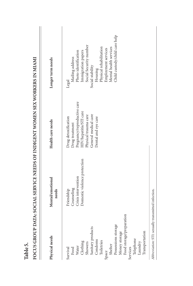| Pregnancy/reproductive care<br>HIV/hepatitis/STI care<br>General medical care<br>Physical trauma care<br>Drug detoxification<br>Dental and eye care<br>Drug treatment<br>Domestic violence protection<br>Crisis intervention<br>Counseling<br>Friendship<br>Food storage/preparation<br>Possessions storage<br>Sanitary products<br>Money storage<br>Condoms<br>Toiletries<br>Clothing<br>Showers<br>Shelter<br>Water<br>Services<br>Food<br>Survival<br>Space | Physical needs | Mental/emotional<br>needs | Health care needs | Longer term needs                                                                                                                                                                                                                            |
|----------------------------------------------------------------------------------------------------------------------------------------------------------------------------------------------------------------------------------------------------------------------------------------------------------------------------------------------------------------------------------------------------------------------------------------------------------------|----------------|---------------------------|-------------------|----------------------------------------------------------------------------------------------------------------------------------------------------------------------------------------------------------------------------------------------|
| Abbreviation: STI: sexually transmitted infection.<br>Transportation<br>Laundry                                                                                                                                                                                                                                                                                                                                                                                | Telephone      |                           |                   | Child custody/child care help<br>Social Security number<br>Physical rehabilitation<br>Mental health services<br>Employment services<br>Photo identification<br>Immigration papers<br>Mailing address<br>Social stability<br>Housing<br>Legal |

**Table 5.**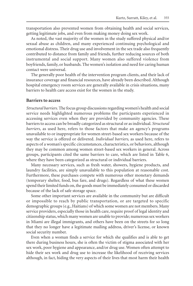transportation also prevented women from obtaining health and social services, getting legitimate jobs, and even from making money doing sex work.

As noted, the vast majority of the women in the study suffered physical and/or sexual abuse as children, and many experienced continuing psychological and emotional distress. Their drug use and involvement in the sex trade also frequently contributed to distance from family and friends, further reducing sources of both instrumental and social support. Many women also suffered violence from boyfriends, family, or husbands. The women's isolation and need for caring human contact were universal.

The generally poor health of the intervention program clients, and their lack of insurance coverage and financial resources, have already been described. Although hospital emergency room services are generally available in crisis situations, many barriers to health care access exist for the women in the study.

#### **Barriers to access**

*Structural barriers.* The focus group discussions regarding women's health and social service needs highlighted numerous problems the participants experienced in accessing services even when they are provided by community agencies. These barriers to access can be broadly categorized as structural or as individual. *Structural barriers,* as used here, refers to those factors that make an agency's programs unavailable to or inappropriate for women street-based sex workers because of the way the service is offered or delivered. *Individual barriers,* as used here, refers to aspects of a woman's specific circumstances, characteristics, or behaviors, although they may be common among women street-based sex workers in general. Across groups, participants cited the same barriers to care, which are listed in Table 6, where they have been categorized as structural or individual barriers.

Many necessary services, such as fresh water, showers, hygiene products, and laundry facilities, are simply unavailable to this population at reasonable cost. Furthermore, these purchases compete with numerous other monetary demands (temporary shelter, food, bus fare, and drugs). Regardless of what these women spend their limited funds on, the goods must be immediately consumed or discarded because of the lack of safe storage space.

Some other important services are available in the community but are difficult or impossible to reach by public transportation, or are targeted to specific demographic groups (e.g., Haitians) of which some women are not members. Many service providers, especially those in health care, require proof of legal identity and citizenship status, which many women are unable to provide; numerous sex workers in Miami are illegal immigrants, and others have been on the streets for so long that they no longer have a legitimate mailing address, driver's license, or known social security number.

Even when a woman finds a service for which she qualifies and is able to get there during business hours, she is often the victim of stigma associated with her sex work, poor hygiene and appearance, and/or drug use. Women often attempt to hide their sex work and drug use to increase the likelihood of receiving services although, in fact, hiding the very aspects of their lives that most harm their health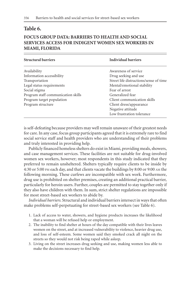### **Table 6.**

### **FOCUS GROUP DATA: BARRIERS TO HEALTH AND SOCIAL SERVICES ACCESS FOR INDIGENT WOMEN SEX WORKERS IN MIAMI, FLORIDA**

| <b>Structural barriers</b>         | Individual barriers                    |
|------------------------------------|----------------------------------------|
| Availability                       | Awareness of service                   |
| Information accessibility          | Drug seeking and use                   |
| Transportation                     | Street life distractions/sense of time |
| Legal status requirements          | Mental/emotional stability             |
| Social stigma                      | Fear of arrest                         |
| Program staff communication skills | Generalized fear                       |
| Program target population          | Client communication skills            |
| Program structure                  | Client dress/appearance                |
|                                    | Negative attitude                      |
|                                    | Low frustration tolerance              |

is self-defeating because providers may well remain unaware of their greatest needs for care. In any case, focus group participants agreed that it is extremely rare to find social service staff and health providers who are understanding of their problems and truly interested in providing help.

Publicly financed homeless shelters do exist in Miami, providing meals, showers, and case management services. These facilities are not suitable for drug-involved women sex workers, however; most respondents in this study indicated that they preferred to remain unsheltered. Shelters typically require clients to be inside by 4:30 or 5:00 PM each day, and that clients vacate the buildings by 8:00 or 9:00 AM the following morning. These curfews are incompatible with sex work. Furthermore, drug use is prohibited on shelter premises, creating an additional practical barrier, particularly for heroin users. Further, couples are permitted to stay together only if they also have children with them. In sum, strict shelter regulations are impossible for most street-based sex workers to abide by.

*Individual barriers.* Structural and individual barriers intersect in ways that often make problems self-perpetuating for street-based sex workers (see Table 6).

- 1. Lack of access to water, showers, and hygiene products increases the likelihood that a woman will be refused help or employment.
- 2. The inability to find shelter at hours of the day compatible with their lives leaves women on the street, and at increased vulnerability to violence, heavier drug use, and loss of self-esteem. Some women said they smoked crack all night on the streets so they would not risk being raped while asleep.
- 3. Living on the street increases drug seeking and use, making women less able to make the decisions necessary to find help.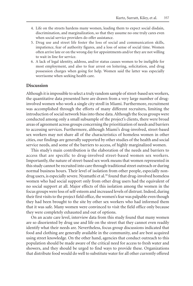- 4. Life on the streets hardens many women, leading them to expect social disdain, discrimination, and marginalization, so that they assume no one truly cares even when social service providers do offer assistance.
- 5. Drug use and street life foster the loss of social and communication skills, impatience, fear of authority figures, and a loss of sense of social time. Women often arrive late or on the wrong day for appointments and/or they are not willing to wait in line for service.
- 6. A lack of legal identity, address, and/or status causes women to be ineligible for most employment, and also to fear arrest on loitering, solicitation, and drug possession charges when going for help. Women said the latter was especially worrisome when seeking health care.

#### **Discussion**

Although it is impossible to select a truly random sample of street-based sex workers, the quantitative data presented here are drawn from a very large number of druginvolved women who work a single city stroll in Miami. Furthermore, recruitment was accomplished through the efforts of many different recruiters, limiting the introduction of social network bias into these data. Although the focus groups were conducted among only a small subsample of the project's clients, there were broad areas of agreement across groups concerning the prioritization of needs and barriers to accessing services. Furthermore, although Miami's drug-involved, street-based sex workers may not share all of the characteristics of homeless women in other cities, our findings are generally supported by other studies of the health and social service needs, and some of the barriers to access, of highly marginalized women.

This study's main contribution is the elaboration of the needs and barriers to access that are specific to drug-involved street-based women sex workers. Importantly, the nature of street-based sex work means that women represented in this study cannot be recruited into care through traditional street outreach or during normal business hours. Their level of isolation from other people, especially nondrug users, is especially severe. Nyamathi et al.<sup>50</sup> found that drug-involved homeless women who had social support only from other drug users had the equivalent of no social support at all. Major effects of this isolation among the women in the focus groups were loss of self-esteem and increased levels of distrust. Indeed, during their first visits to the project field office, the women's fear was palpable even though they had been brought to the site by other sex workers who had informed them that it was safe. Many women were convinced to visit the field office only because they were completely exhausted and out of options.

On an acute care level, interview data from this study found that many women are so disoriented by drug use and life on the street that they cannot even readily identify what their needs are. Nevertheless, focus group discussions indicated that food and clothing are generally available in the community, and are best acquired using street knowledge. On the other hand, agencies that conduct outreach to this population should be made aware of the critical need for access to fresh water and showers, and they should be urged to find ways to provide these. Organizations that distribute food would do well to substitute water for all other currently offered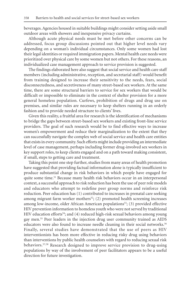beverages. Agencies housed in suitable buildings might consider setting aside small outdoor areas with showers and inexpensive privacy curtains.

Although acute physical needs must be met before other concerns can be addressed, focus group discussions pointed out that higher level needs vary depending on a woman's individual circumstances. Only some women had lost their legal identities or required immigration papers. Mental health care needs were prioritized over physical care by some women but not others. For these reasons, an individualized case management approach to service provision is suggested.

The findings elaborated here also suggest that social service and health care staff members (including administrative, reception, and secretarial staff) would benefit from training designed to increase their sensitivity to the needs, fears, social disconnectedness, and secretiveness of many street-based sex workers. At the same time, there are some structural barriers to service for sex workers that would be difficult or impossible to eliminate in the context of shelter provision for a more general homeless population. Curfews, prohibition of drugs and drug use on premises, and similar rules are necessary to keep shelters running in an orderly fashion and to provide needed structure to clients' lives.

Given this reality, a fruitful area for research is the identification of mechanisms to bridge the gaps between street-based sex workers and existing front-line service providers. The goal of such research would be to find effective ways to increase women's empowerment and reduce their marginalization to the extent that they can successfully navigate the complex web of social service and health care entities that exists in every community. Such efforts might include providing an intermediate level of case management, perhaps including former drug-involved sex workers in key support roles, to keep clients engaged and on a path toward making consistent, if small, steps to getting care and treatment.

Taking this point one step further, studies from many areas of health promotion have suggested that providing factual information alone is typically insufficient to produce substantial change in risk behaviors in which people have engaged for quite some time.<sup>51</sup> Because many health risk behaviors occur in an interpersonal context, a successful approach to risk reduction has been the use of peer role models and educators who attempt to redefine peer group norms and reinforce risk reduction. Peer education has (1) contributed to increases in prenatal care seeking among migrant farm worker mothers<sup>52</sup>; (2) promoted health screening increases among low-income, older African American populations<sup>53</sup>; (3) provided effective HIV prevention information to homeless youth who were not served by traditional HIV education efforts<sup>54</sup>; and (4) reduced high-risk sexual behaviors among young gay men.<sup>55</sup> Peer leaders in the injection drug user community trained as AIDS educators were also found to increase needle cleaning in their social networks.<sup>56</sup> Finally, several studies have demonstrated that the use of peers as HIV interventionists has been more effective in reducing risky drug using behaviors than interventions by public health counselors with regard to reducing sexual risk behaviors.<sup>57,58</sup> Research designed to improve service provision to drug-using populations by way of the involvement of peer facilitators appears to be a useful direction for future investigation.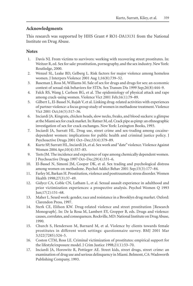### **Acknowledgments**

This research was supported by HHS Grant # RO1-DA13131 from the National Institute on Drug Abuse.

### **Notes**

- 1. Davis NJ. From victims to survivors: working with recovering street prostitutes. In: Weitzer R, ed. Sex for sale: prostitution, pornography, and the sex industry. New York: Routledge, 2000.
- 2. Wenzel SL, Leake BD, Gelberg L. Risk factors for major violence among homeless women. J Interpers Violence 2001 Aug 1;16(8):739–52.
- 3. Baseman J, Ross M, Williams M. Sale of sex for drugs and drugs for sex: an economic context of sexual risk behaviors for STDs. Sex Transm Dis 1999 Sep;26(8):444–9.
- 4. Falck RS, Wang J, Carlson RG, et al. The epidemiology of physical attack and rape among crack-using women. Violence Vict 2001 Feb;16(1):79–89.
- 5. Gilbert L, El-Bassel N, Rajah V, et al. Linking drug-related activities with experiences of partner violence: a focus group study of women in methadone treatment. Violence Vict 2001 Oct;16(5):517–36.
- 6. Inciardi JA. Kingrats, chicken heads, slow necks, freaks, and blood suckers: a glimpse at the Miami sex for crack market. In: Ratner M, ed. Crack pipe as pimp: an ethnographic investigation of sex for crack exchanges. New York: Lexington Books, 1993.
- 7. Inciardi JA, Surratt HL. Drug use, street crime and sex-trading among cocainedependent women: implications for public health and criminal justice policy. J Psychoactive Drugs 2001 Oct–Dec;33(4):379–89.
- 8. Kurtz SP, Surratt HL, Inciardi JA, et al. Sex work and "date" violence. Violence Against Women 2004 Apr;10(4):357–85.
- 9. Teets JM. The incidence and experience of rape among chemically dependent women. J Psychoactive Drugs 1997 Oct–Dec;29(4):331–6.
- 10. El-Bassel N, Simoni JM, Cooper DK, et al. Sex trading and psychological distress among women on methadone. Psychol Addict Behav 2001 Sep;15(3):177–84.
- 11. Farley M, Barkan H. Prostitution, violence and posttraumatic stress disorder. Women Health 1998;27(3):37–49.
- 12. Gidycz CA, Coble CN, Latham L, et al. Sexual assault experience in adulthood and prior victimization experiences: a prospective analysis. Psychol Women Q 1993 Jun;17(2):151–68.
- 13. Maher L. Sexed work: gender, race and resistance in a Brooklyn drug market. Oxford: Clarendon Press, 1997.
- 14. Sterk CE, Elifson KW. Drug-related violence and street prostitution [Research Monograph]. In: De la Rosa M, Lambert EY, Gropper B, eds. Drugs and violence: causes, correlates, and consequences. Rockville, MD: National Institute on Drug Abuse, 1990.
- 15. Church S, Henderson M, Barnard M, et al. Violence by clients towards female prostitutes in different work settings: questionnaire survey. BMJ 2001 Mar 3;322(7285):524–5.
- 16. Coston CTM, Ross LE. Criminal victimization of prostitutes: empirical support for the lifestyle/exposure model. J Crim Justice 1998;21(1):53–70.
- 17. Inciardi JA, Horowitz R, Pottieger AE. Street kids, street drugs, street crime: an examination of drug use and serious delinquency in Miami. Belmont, CA: Wadsworth Publishing Company, 1993.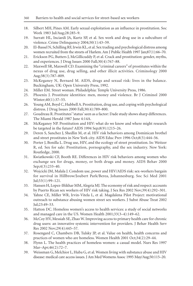- 18. Silbert MH, Pines AM. Early sexual exploitation as an influence in prostitution. Soc Work 1983 Jul/Aug;28:285–9.
- 19. Surratt HL, Inciardi JA, Kurtz SP, et al. Sex work and drug use in a subculture of violence. Crime Delinquency 2004;50(1):43–59.
- 20. El-Bassel N, Schilling RF, Irwin KL, et al. Sex trading and psychological distress among women recruited from the streets of Harlem. Am J Public Health 1997 Jan;87(1):66–70.
- 21. Erickson PG, Butters J, McGillicuddy P, et al. Crack and prostitution: gender, myths, and experiences. J Drug Issues 2000 Fall;30(4):767–88.
- 22. Maxwell SR, Maxwell CD. Examining the "criminal careers" of prostitutes within the nexus of drug use, drug selling, and other illicit activities. Criminology 2000 Aug;38(3):787–809.
- 23. McKeganey N, Bernard M. AIDS, drugs and sexual risk: lives in the balance. Buckingham, UK: Open University Press, 1992.
- 24. Miller EM. Street woman. Philadelphia: Temple University Press, 1986.
- 25. Phoenix J. Prostitute identities: men, money and violence. Br J Criminol 2000 Winter;40(1):37-55.
- 26. Young AM, Boyd C, Hubbell A. Prostitution, drug use, and coping with psychological distress. J Drug Issues 2000 Fall;30(4):789–800.
- 27. Goudreau R. Prostitutes' 'status' seen as a factor: Dade study shows sharp differences. The Miami Herald 1987 June 4:14A.
- 28. McKeganey NP. Prostitution and HIV: what do we know and where might research be targeted in the future? AIDS 1994 Sep;8(9):1215–26.
- 29. Deren S, Sanchez J, Shedlin M, et al. HIV risk behaviors among Dominican brothel and street prostitutes in New York city. AIDS Educ Prev 1996 Oct;8(5):444–56.
- 30. Porter J, Bonilla L. Drug use, HIV, and the ecology of street prostitution. In: Weitzer R, ed. Sex for sale: Prostitution, pornography, and the sex industry. New York: Routledge, 2000.
- 31. Kwiatkowski CF, Booth RE. Differences in HIV risk behaviors among women who exchange sex for drugs, money, or both drugs and money. AIDS Behav 2000 Sep;4(3):233–40.
- 32. Wojcicki JM, Malala J. Condom use, power and HIV/AIDS risk: sex-workers bargain for survival in Hillbrow/Joubert Park/Berea, Johannesburg. Soc Sci Med 2001 Jul;53(1):99–121.
- 33. Hansen H, Lopez-Iftikhar MM, Alegría MJ. The economy of risk and respect: accounts by Puerto Rican sex workers of HIV risk taking. J Sex Res 2002 Nov;39(4):292–301.
- 34. Yahne CE, Miller WR, Irvin-Vitela L, et al. Magdalena Pilot Project: motivational outreach to substance abusing women street sex workers. J Subst Abuse Treat 2002 Jul;23:49–53.
- 35. Hatton DC. Homeless women's access to health services: a study of social networks and managed care in the US. Women Health 2001;33(3–4):149–62.
- 36. McCoy HV, Messiah SE, Zhao W. Improving access to primary health care for chronic drug users: an innovative systemic intervention for providers. J Behav Health Serv Res 2002 Nov;29(4):445–57.
- 37. Rosengard C, Chambers DB, Tulsky JP, et al. Value on health, health concerns and practices of women who are homeless. Women Health 2001 Oct;34(2):29–44.
- 38. Flynn L. The health practices of homeless women: a casual model. Nurs Res 1997 Mar–Apr;46(2):72–7.
- 39. Weissman G, Melchior L, Huba G, et al. Women living with substance abuse and HIV disease: medical care access issues. J Am Med Womens Assoc 1995 May/Aug;50:115–20.